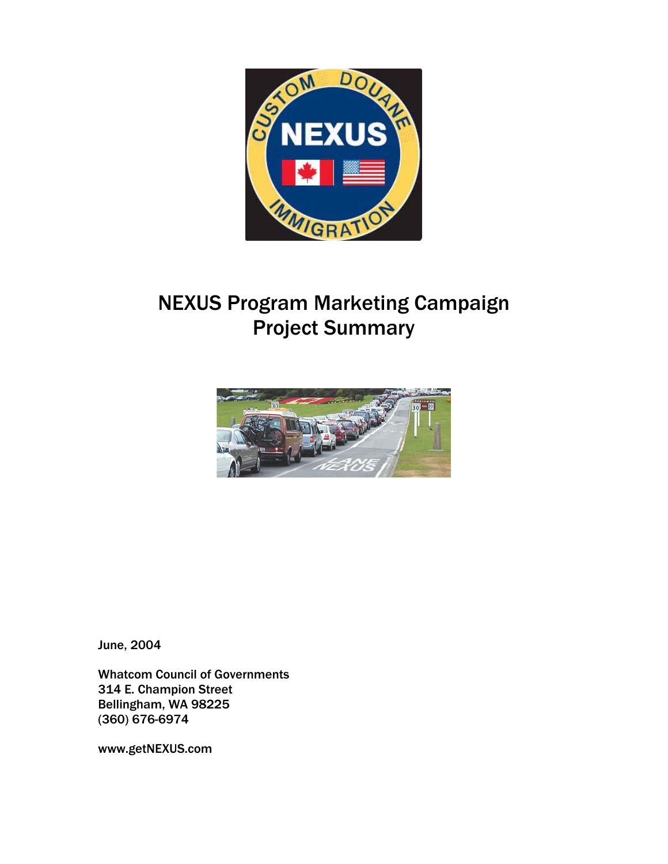

# NEXUS Program Marketing Campaign Project Summary



June, 2004

Whatcom Council of Governments 314 E. Champion Street Bellingham, WA 98225 (360) 676-6974

www.getNEXUS.com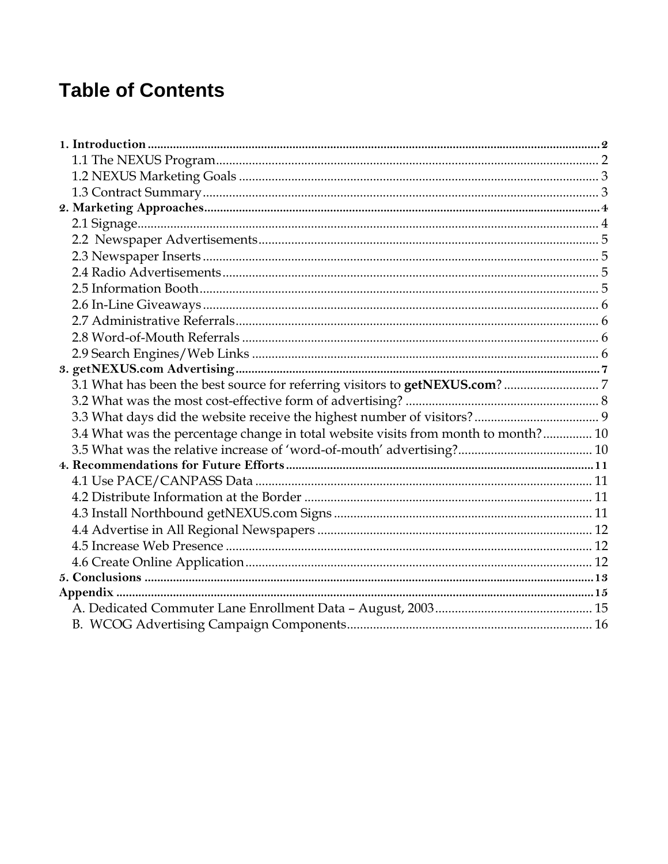# **Table of Contents**

| 3.4 What was the percentage change in total website visits from month to month? 10 |  |
|------------------------------------------------------------------------------------|--|
|                                                                                    |  |
|                                                                                    |  |
|                                                                                    |  |
|                                                                                    |  |
|                                                                                    |  |
|                                                                                    |  |
|                                                                                    |  |
|                                                                                    |  |
|                                                                                    |  |
|                                                                                    |  |
|                                                                                    |  |
|                                                                                    |  |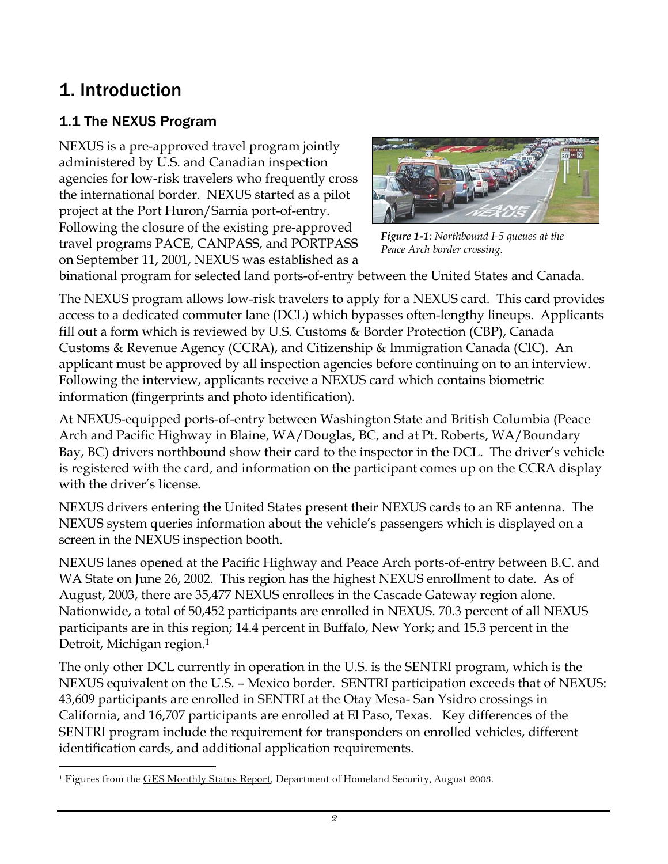# 1. Introduction

## 1.1 The NEXUS Program

NEXUS is a pre-approved travel program jointly administered by U.S. and Canadian inspection agencies for low-risk travelers who frequently cross the international border. NEXUS started as a pilot project at the Port Huron/Sarnia port-of-entry. Following the closure of the existing pre-approved travel programs PACE, CANPASS, and PORTPASS on September 11, 2001, NEXUS was established as a



*Figure 1-1: Northbound I-5 queues at the Peace Arch border crossing.* 

binational program for selected land ports-of-entry between the United States and Canada.

The NEXUS program allows low-risk travelers to apply for a NEXUS card. This card provides access to a dedicated commuter lane (DCL) which bypasses often-lengthy lineups. Applicants fill out a form which is reviewed by U.S. Customs & Border Protection (CBP), Canada Customs & Revenue Agency (CCRA), and Citizenship & Immigration Canada (CIC). An applicant must be approved by all inspection agencies before continuing on to an interview. Following the interview, applicants receive a NEXUS card which contains biometric information (fingerprints and photo identification).

At NEXUS-equipped ports-of-entry between Washington State and British Columbia (Peace Arch and Pacific Highway in Blaine, WA/Douglas, BC, and at Pt. Roberts, WA/Boundary Bay, BC) drivers northbound show their card to the inspector in the DCL. The driver's vehicle is registered with the card, and information on the participant comes up on the CCRA display with the driver's license.

NEXUS drivers entering the United States present their NEXUS cards to an RF antenna. The NEXUS system queries information about the vehicle's passengers which is displayed on a screen in the NEXUS inspection booth.

NEXUS lanes opened at the Pacific Highway and Peace Arch ports-of-entry between B.C. and WA State on June 26, 2002. This region has the highest NEXUS enrollment to date. As of August, 2003, there are 35,477 NEXUS enrollees in the Cascade Gateway region alone. Nationwide, a total of 50,452 participants are enrolled in NEXUS. 70.3 percent of all NEXUS participants are in this region; 14.4 percent in Buffalo, New York; and 15.3 percent in the Detroit, Michigan region[.1](#page-2-0)

The only other DCL currently in operation in the U.S. is the SENTRI program, which is the NEXUS equivalent on the U.S. – Mexico border. SENTRI participation exceeds that of NEXUS: 43,609 participants are enrolled in SENTRI at the Otay Mesa- San Ysidro crossings in California, and 16,707 participants are enrolled at El Paso, Texas. Key differences of the SENTRI program include the requirement for transponders on enrolled vehicles, different identification cards, and additional application requirements.

<span id="page-2-0"></span> $\overline{a}$ <sup>1</sup> Figures from the GES Monthly Status Report, Department of Homeland Security, August 2003.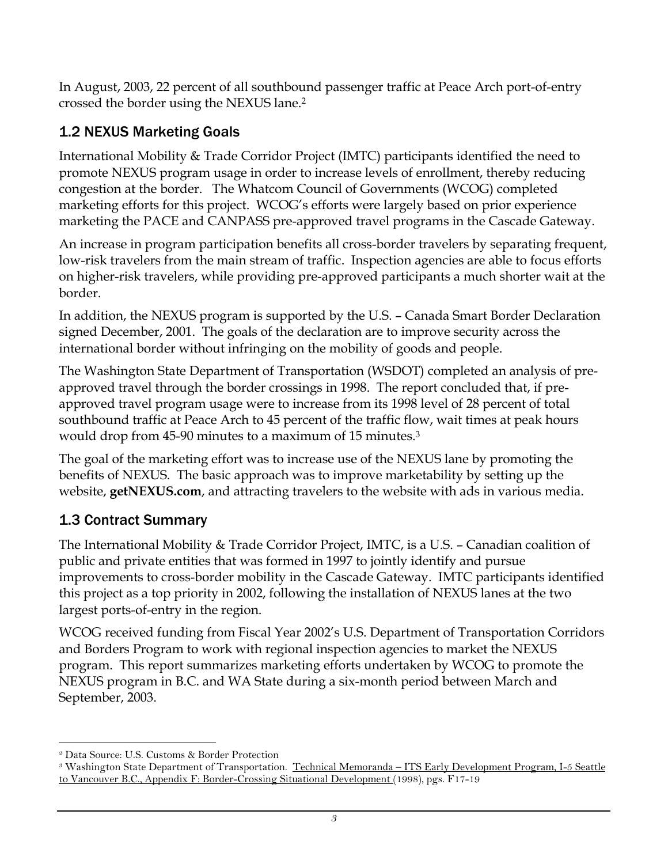In August, 2003, 22 percent of all southbound passenger traffic at Peace Arch port-of-entry crossed the border using the NEXUS lane[.2](#page-3-0) 

### 1.2 NEXUS Marketing Goals

International Mobility & Trade Corridor Project (IMTC) participants identified the need to promote NEXUS program usage in order to increase levels of enrollment, thereby reducing congestion at the border. The Whatcom Council of Governments (WCOG) completed marketing efforts for this project. WCOG's efforts were largely based on prior experience marketing the PACE and CANPASS pre-approved travel programs in the Cascade Gateway.

An increase in program participation benefits all cross-border travelers by separating frequent, low-risk travelers from the main stream of traffic. Inspection agencies are able to focus efforts on higher-risk travelers, while providing pre-approved participants a much shorter wait at the border.

In addition, the NEXUS program is supported by the U.S. – Canada Smart Border Declaration signed December, 2001. The goals of the declaration are to improve security across the international border without infringing on the mobility of goods and people.

The Washington State Department of Transportation (WSDOT) completed an analysis of preapproved travel through the border crossings in 1998. The report concluded that, if preapproved travel program usage were to increase from its 1998 level of 28 percent of total southbound traffic at Peace Arch to 45 percent of the traffic flow, wait times at peak hours would drop from 45-90 minutes to a maximum of 15 minutes[.3](#page-3-1)

The goal of the marketing effort was to increase use of the NEXUS lane by promoting the benefits of NEXUS. The basic approach was to improve marketability by setting up the website, **getNEXUS.com**, and attracting travelers to the website with ads in various media.

### 1.3 Contract Summary

The International Mobility & Trade Corridor Project, IMTC, is a U.S. – Canadian coalition of public and private entities that was formed in 1997 to jointly identify and pursue improvements to cross-border mobility in the Cascade Gateway. IMTC participants identified this project as a top priority in 2002, following the installation of NEXUS lanes at the two largest ports-of-entry in the region.

WCOG received funding from Fiscal Year 2002's U.S. Department of Transportation Corridors and Borders Program to work with regional inspection agencies to market the NEXUS program. This report summarizes marketing efforts undertaken by WCOG to promote the NEXUS program in B.C. and WA State during a six-month period between March and September, 2003.

 $\overline{a}$ 

<span id="page-3-1"></span><span id="page-3-0"></span><sup>&</sup>lt;sup>2</sup> Data Source: U.S. Customs & Border Protection<br><sup>3</sup> Washington State Department of Transportation. <u>Technical Memoranda – ITS Early Development Program, I-5 Seattle</u> to Vancouver B.C., Appendix F: Border-Crossing Situational Development (1998), pgs. F17-19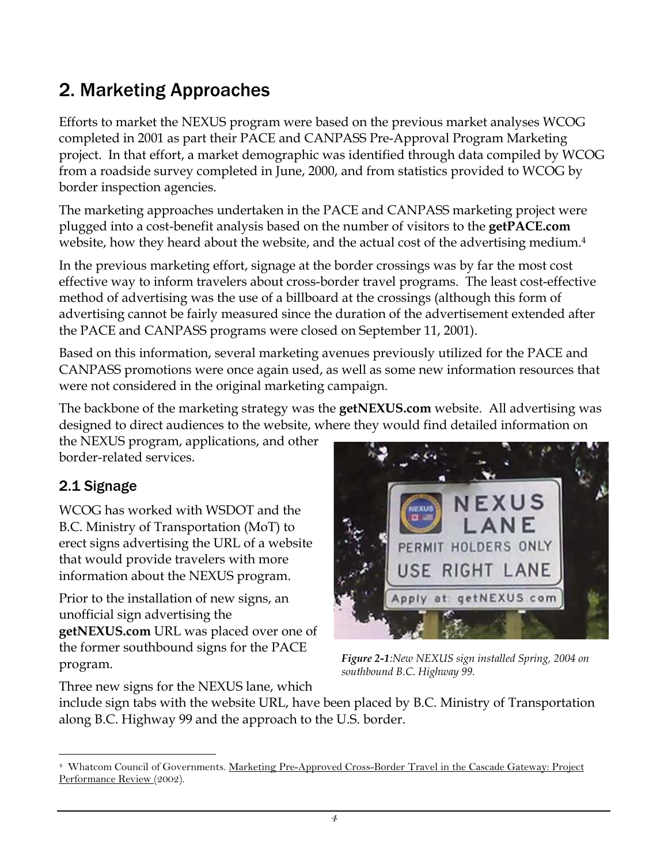# 2. Marketing Approaches

Efforts to market the NEXUS program were based on the previous market analyses WCOG completed in 2001 as part their PACE and CANPASS Pre-Approval Program Marketing project. In that effort, a market demographic was identified through data compiled by WCOG from a roadside survey completed in June, 2000, and from statistics provided to WCOG by border inspection agencies.

The marketing approaches undertaken in the PACE and CANPASS marketing project were plugged into a cost-benefit analysis based on the number of visitors to the **getPACE.com** website, how they heard about the website, and the actual cost of the advertising medium[.4](#page-4-0)

In the previous marketing effort, signage at the border crossings was by far the most cost effective way to inform travelers about cross-border travel programs. The least cost-effective method of advertising was the use of a billboard at the crossings (although this form of advertising cannot be fairly measured since the duration of the advertisement extended after the PACE and CANPASS programs were closed on September 11, 2001).

Based on this information, several marketing avenues previously utilized for the PACE and CANPASS promotions were once again used, as well as some new information resources that were not considered in the original marketing campaign.

The backbone of the marketing strategy was the **getNEXUS.com** website. All advertising was designed to direct audiences to the website, where they would find detailed information on

the NEXUS program, applications, and other border-related services.

### 2.1 Signage

WCOG has worked with WSDOT and the B.C. Ministry of Transportation (MoT) to erect signs advertising the URL of a website that would provide travelers with more information about the NEXUS program.

Prior to the installation of new signs, an unofficial sign advertising the **getNEXUS.com** URL was placed over one of the former southbound signs for the PACE program.



*Figure 2-1:New NEXUS sign installed Spring, 2004 on southbound B.C. Highway 99.* 

Three new signs for the NEXUS lane, which

include sign tabs with the website URL, have been placed by B.C. Ministry of Transportation along B.C. Highway 99 and the approach to the U.S. border.

<span id="page-4-0"></span> $\overline{a}$ <sup>4</sup> Whatcom Council of Governments. Marketing Pre-Approved Cross-Border Travel in the Cascade Gateway: Project Performance Review (2002).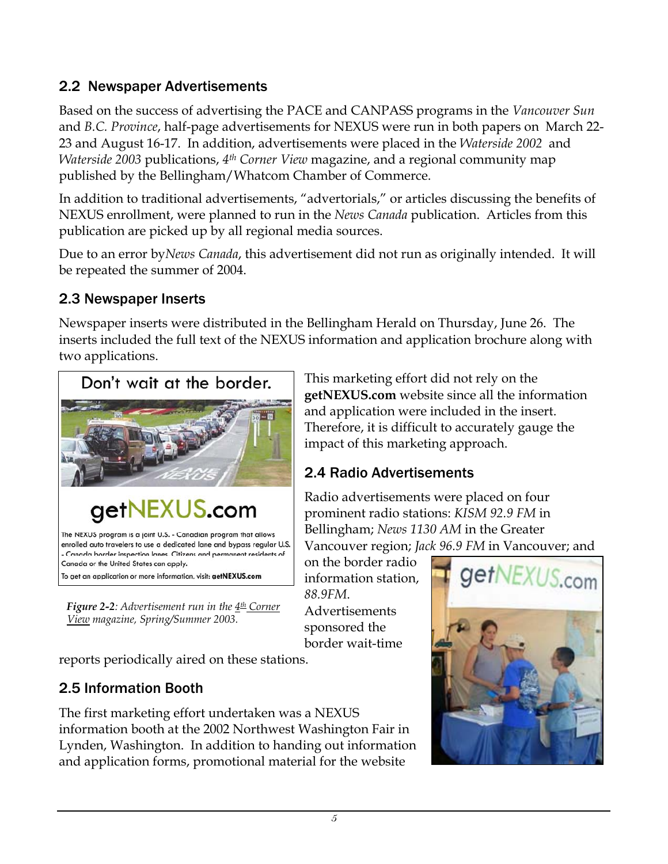#### 2.2 Newspaper Advertisements

Based on the success of advertising the PACE and CANPASS programs in the *Vancouver Sun*  and *B.C. Province*, half-page advertisements for NEXUS were run in both papers on March 22- 23 and August 16-17. In addition, advertisements were placed in the *Waterside 2002* and *Waterside 2003* publications, *4th Corner View* magazine, and a regional community map published by the Bellingham/Whatcom Chamber of Commerce.

In addition to traditional advertisements, "advertorials," or articles discussing the benefits of NEXUS enrollment, were planned to run in the *News Canada* publication. Articles from this publication are picked up by all regional media sources.

Due to an error by*News Canada*, this advertisement did not run as originally intended. It will be repeated the summer of 2004.

#### 2.3 Newspaper Inserts

Newspaper inserts were distributed in the Bellingham Herald on Thursday, June 26. The inserts included the full text of the NEXUS information and application brochure along with two applications.



The NEXUS program is a joint U.S. - Canadian program that allows enrolled auto travelers to use a dedicated lane and bypass regular U.S. Canada border inspection lanes. Citizens and permanent residents of Canada or the United States can apply.

To get an application or more information, visit: getNEXUS.com

*Figure 2-2: Advertisement run in the 4<sup>th</sup> Corner View magazine, Spring/Summer 2003.*

reports periodically aired on these stations.

#### 2.5 Information Booth

The first marketing effort undertaken was a NEXUS information booth at the 2002 Northwest Washington Fair in Lynden, Washington. In addition to handing out information and application forms, promotional material for the website

This marketing effort did not rely on the **getNEXUS.com** website since all the information and application were included in the insert. Therefore, it is difficult to accurately gauge the impact of this marketing approach.

#### 2.4 Radio Advertisements

Radio advertisements were placed on four prominent radio stations: *KISM 92.9 FM* in Bellingham; *News 1130 AM* in the Greater Vancouver region; *Jack 96.9 FM* in Vancouver; and

on the border radio information station, *88.9FM*. Advertisements sponsored the border wait-time

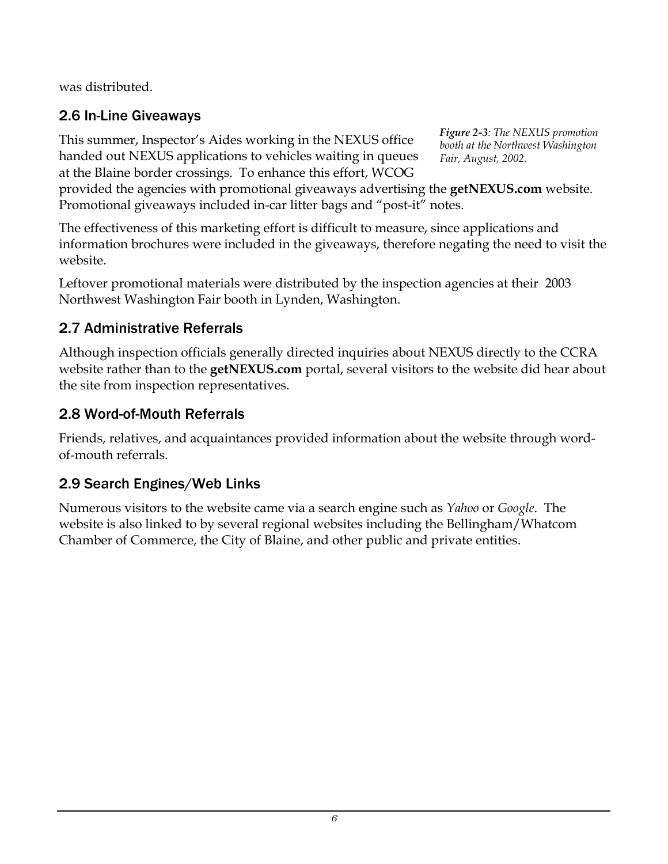was distributed.

## 2.6 In-Line Giveaways

This summer, Inspector's Aides working in the NEXUS office handed out NEXUS applications to vehicles waiting in queues at the Blaine border crossings. To enhance this effort, WCOG

*Figure 2-3: The NEXUS promotion booth at the Northwest Washington Fair, August, 2002.* 

provided the agencies with promotional giveaways advertising the **getNEXUS.com** website. Promotional giveaways included in-car litter bags and "post-it" notes.

The effectiveness of this marketing effort is difficult to measure, since applications and information brochures were included in the giveaways, therefore negating the need to visit the website.

Leftover promotional materials were distributed by the inspection agencies at their 2003 Northwest Washington Fair booth in Lynden, Washington.

### 2.7 Administrative Referrals

Although inspection officials generally directed inquiries about NEXUS directly to the CCRA website rather than to the **getNEXUS.com** portal, several visitors to the website did hear about the site from inspection representatives.

### 2.8 Word-of-Mouth Referrals

Friends, relatives, and acquaintances provided information about the website through wordof-mouth referrals.

### 2.9 Search Engines/Web Links

Numerous visitors to the website came via a search engine such as *Yahoo* or *Google*. The website is also linked to by several regional websites including the Bellingham/Whatcom Chamber of Commerce, the City of Blaine, and other public and private entities.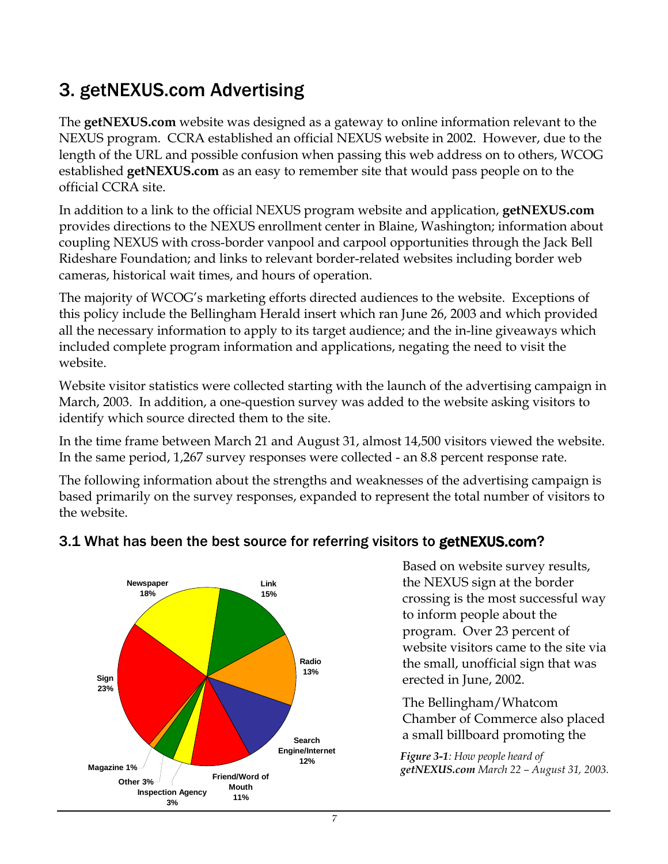# 3. getNEXUS.com Advertising

The **getNEXUS.com** website was designed as a gateway to online information relevant to the NEXUS program. CCRA established an official NEXUS website in 2002. However, due to the length of the URL and possible confusion when passing this web address on to others, WCOG established **getNEXUS.com** as an easy to remember site that would pass people on to the official CCRA site.

In addition to a link to the official NEXUS program website and application, **getNEXUS.com** provides directions to the NEXUS enrollment center in Blaine, Washington; information about coupling NEXUS with cross-border vanpool and carpool opportunities through the Jack Bell Rideshare Foundation; and links to relevant border-related websites including border web cameras, historical wait times, and hours of operation.

The majority of WCOG's marketing efforts directed audiences to the website. Exceptions of this policy include the Bellingham Herald insert which ran June 26, 2003 and which provided all the necessary information to apply to its target audience; and the in-line giveaways which included complete program information and applications, negating the need to visit the website.

Website visitor statistics were collected starting with the launch of the advertising campaign in March, 2003. In addition, a one-question survey was added to the website asking visitors to identify which source directed them to the site.

In the time frame between March 21 and August 31, almost 14,500 visitors viewed the website. In the same period, 1,267 survey responses were collected - an 8.8 percent response rate.

The following information about the strengths and weaknesses of the advertising campaign is based primarily on the survey responses, expanded to represent the total number of visitors to the website.



#### 3.1 What has been the best source for referring visitors to getNEXUS.com?

Based on website survey results, the NEXUS sign at the border crossing is the most successful way to inform people about the program. Over 23 percent of website visitors came to the site via the small, unofficial sign that was erected in June, 2002.

The Bellingham/Whatcom Chamber of Commerce also placed a small billboard promoting the

*Figure 3-1: How people heard of getNEXUS.com March 22 – August 31, 2003.*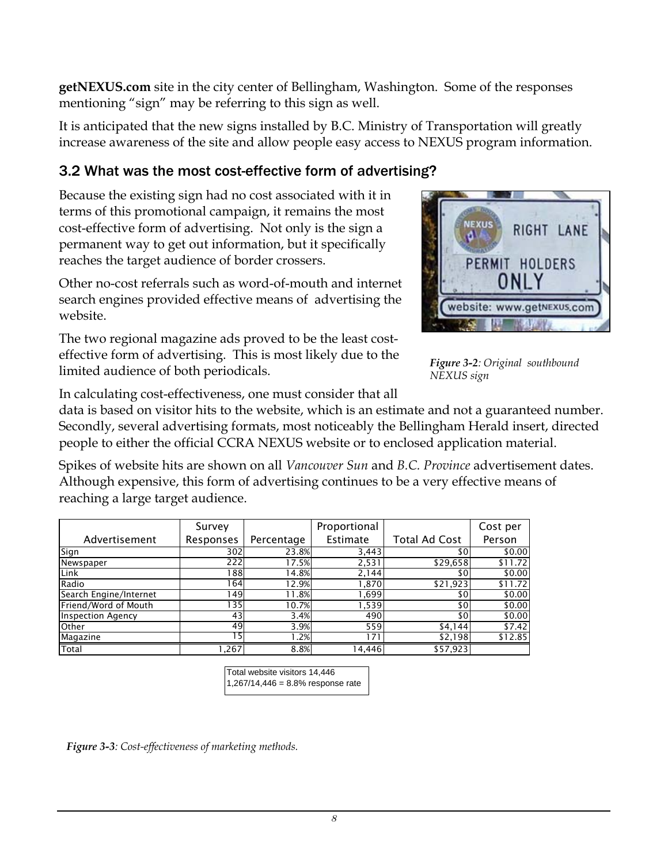**getNEXUS.com** site in the city center of Bellingham, Washington. Some of the responses mentioning "sign" may be referring to this sign as well.

It is anticipated that the new signs installed by B.C. Ministry of Transportation will greatly increase awareness of the site and allow people easy access to NEXUS program information.

#### 3.2 What was the most cost-effective form of advertising?

Because the existing sign had no cost associated with it in terms of this promotional campaign, it remains the most cost-effective form of advertising. Not only is the sign a permanent way to get out information, but it specifically reaches the target audience of border crossers.

Other no-cost referrals such as word-of-mouth and internet search engines provided effective means of advertising the website.

The two regional magazine ads proved to be the least costeffective form of advertising. This is most likely due to the limited audience of both periodicals. *Figure 3-2: Original southbound* 



**NEXUS** 

a.

RIGHT LANE

PERMIT HOLDERS ONLY

website: www.getNEXUS.com

In calculating cost-effectiveness, one must consider that all

data is based on visitor hits to the website, which is an estimate and not a guaranteed number. Secondly, several advertising formats, most noticeably the Bellingham Herald insert, directed people to either the official CCRA NEXUS website or to enclosed application material.

Spikes of website hits are shown on all *Vancouver Sun* and *B.C. Province* advertisement dates. Although expensive, this form of advertising continues to be a very effective means of reaching a large target audience.

|                          | Survey    |            | Proportional |                      | Cost per |
|--------------------------|-----------|------------|--------------|----------------------|----------|
| Advertisement            | Responses | Percentage | Estimate     | <b>Total Ad Cost</b> | Person   |
| Sign                     | 302       | 23.8%      | 3,443        | \$0                  | \$0.00   |
| Newspaper                | 222       | 17.5%      | 2,531        | \$29,658             | \$11.72  |
| Link                     | 1881      | 14.8%      | 2,144        | \$0                  | \$0.00   |
| Radio                    | 164       | 12.9%      | 1,870        | \$21,923             | \$11.72  |
| Search Engine/Internet   | 149       | 11.8%      | 1,699        | \$0                  | \$0.00   |
| Friend/Word of Mouth     | 135       | 10.7%      | 1,539        | \$0                  | \$0.00   |
| <b>Inspection Agency</b> | 43        | 3.4%       | 490          | \$0l                 | \$0.00   |
| Other                    | 49        | 3.9%       | 559          | \$4,144              | \$7.42   |
| Magazine                 | г5        | .2%        | 171          | \$2,198              | \$12.85  |
| Total                    | .267      | 8.8%       | 4.446        | \$57,923             |          |

| Total website visitors 14,446 |                                     |  |
|-------------------------------|-------------------------------------|--|
|                               | $1,267/14,446 = 8.8%$ response rate |  |

*Figure 3-3: Cost-effectiveness of marketing methods.*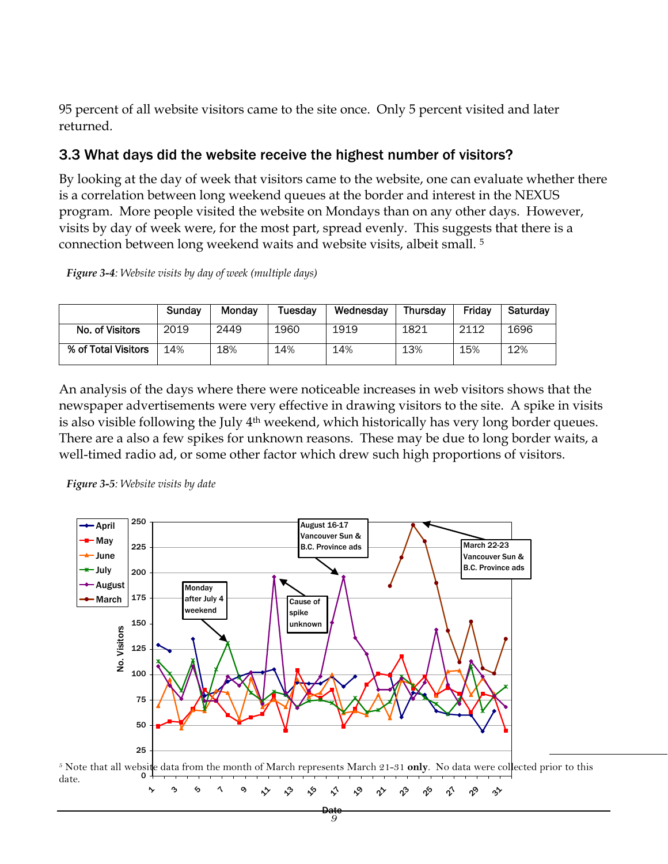95 percent of all website visitors came to the site once. Only 5 percent visited and later returned.

#### 3.3 What days did the website receive the highest number of visitors?

By looking at the day of week that visitors came to the website, one can evaluate whether there is a correlation between long weekend queues at the border and interest in the NEXUS program. More people visited the website on Mondays than on any other days. However, visits by day of week were, for the most part, spread evenly. This suggests that there is a connection between long weekend waits and website visits, albeit small. [5](#page-9-0)

*Figure 3-4: Website visits by day of week (multiple days)* 

|                     | Sunday | Mondav | Tuesdav | Wednesday | Thursdav | Fridav | Saturdav |
|---------------------|--------|--------|---------|-----------|----------|--------|----------|
| No. of Visitors     | 2019   | 2449   | 1960    | 1919      | 1821     | 2112   | 1696     |
| % of Total Visitors | 4%،    | 18%    | 14%     | 14%       | 13%      | 15%    | 12%      |

An analysis of the days where there were noticeable increases in web visitors shows that the newspaper advertisements were very effective in drawing visitors to the site. A spike in visits is also visible following the July 4<sup>th</sup> weekend, which historically has very long border queues. There are a also a few spikes for unknown reasons. These may be due to long border waits, a well-timed radio ad, or some other factor which drew such high proportions of visitors.





<span id="page-9-0"></span>

 $\overline{a}$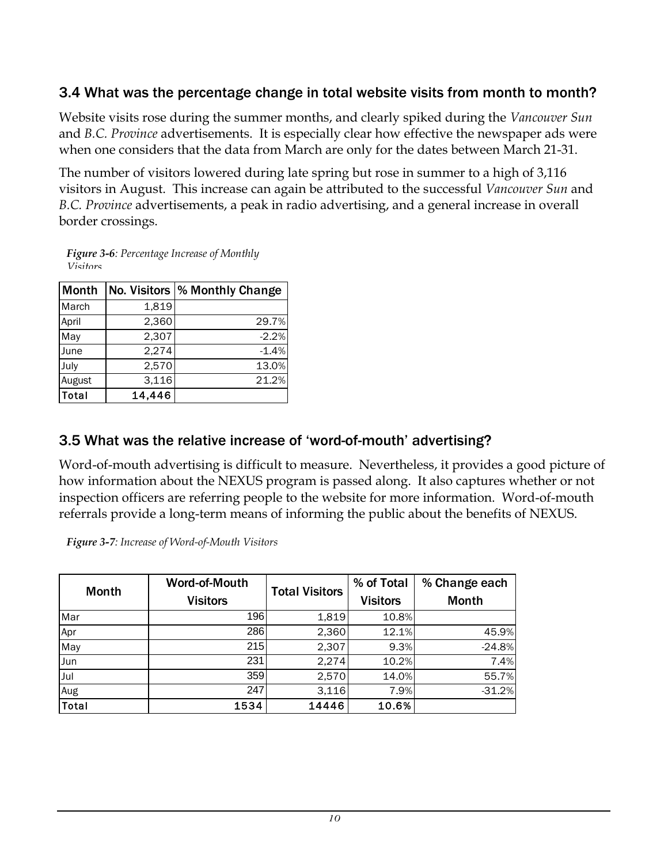#### 3.4 What was the percentage change in total website visits from month to month?

Website visits rose during the summer months, and clearly spiked during the *Vancouver Sun*  and *B.C. Province* advertisements. It is especially clear how effective the newspaper ads were when one considers that the data from March are only for the dates between March 21-31.

The number of visitors lowered during late spring but rose in summer to a high of 3,116 visitors in August. This increase can again be attributed to the successful *Vancouver Sun* and *B.C. Province* advertisements, a peak in radio advertising, and a general increase in overall border crossings.

*Figure 3-6: Percentage Increase of Monthly Visitors*

| Month  | No. Visitors | % Monthly Change |
|--------|--------------|------------------|
| March  | 1,819        |                  |
| April  | 2,360        | 29.7%            |
| May    | 2,307        | $-2.2%$          |
| June   | 2,274        | $-1.4%$          |
| July   | 2,570        | 13.0%            |
| August | 3,116        | 21.2%            |
| Total  | 14,446       |                  |

#### 3.5 What was the relative increase of 'word-of-mouth' advertising?

Word-of-mouth advertising is difficult to measure. Nevertheless, it provides a good picture of how information about the NEXUS program is passed along. It also captures whether or not inspection officers are referring people to the website for more information. Word-of-mouth referrals provide a long-term means of informing the public about the benefits of NEXUS.

*Figure 3-7: Increase of Word-of-Mouth Visitors* 

|              | Word-of-Mouth   | <b>Total Visitors</b> | % of Total      | % Change each |
|--------------|-----------------|-----------------------|-----------------|---------------|
| <b>Month</b> | <b>Visitors</b> |                       | <b>Visitors</b> | <b>Month</b>  |
| Mar          | 196             | 1,819                 | 10.8%           |               |
| Apr          | 286             | 2,360                 | 12.1%           | 45.9%         |
| May          | 215             | 2,307                 | 9.3%            | $-24.8%$      |
| <b>Jun</b>   | 231             | 2,274                 | 10.2%           | 7.4%          |
| Jul          | 359             | 2,570                 | 14.0%           | 55.7%         |
| Aug          | 247             | 3,116                 | 7.9%            | $-31.2%$      |
| Total        | 1534            | 14446                 | 10.6%           |               |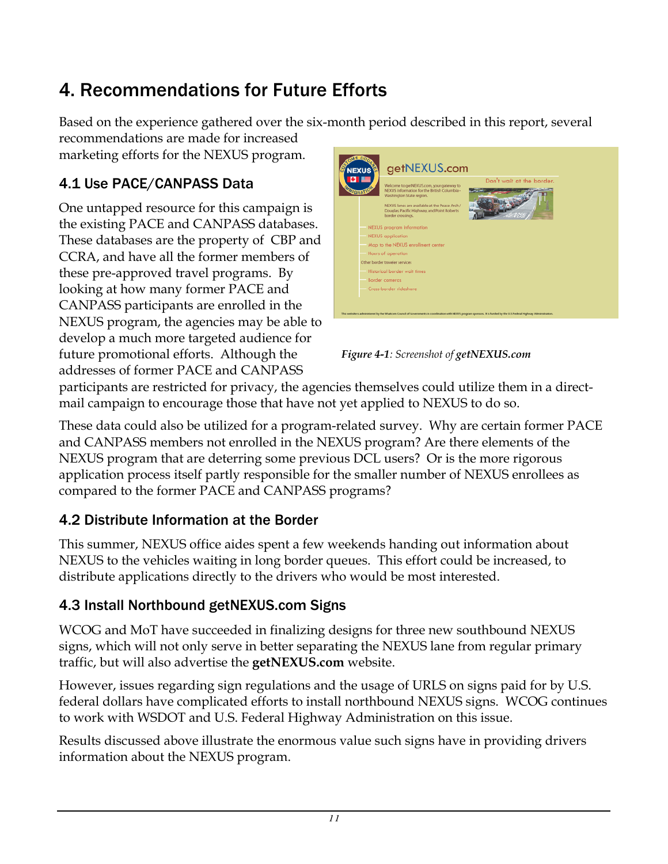# 4. Recommendations for Future Efforts

Based on the experience gathered over the six-month period described in this report, several recommendations are made for increased marketing efforts for the NEXUS program.

### 4.1 Use PACE/CANPASS Data

One untapped resource for this campaign is the existing PACE and CANPASS databases. These databases are the property of CBP and CCRA, and have all the former members of these pre-approved travel programs. By looking at how many former PACE and CANPASS participants are enrolled in the NEXUS program, the agencies may be able to develop a much more targeted audience for future promotional efforts. Although the addresses of former PACE and CANPASS



*Figure 4-1: Screenshot of getNEXUS.com*

participants are restricted for privacy, the agencies themselves could utilize them in a directmail campaign to encourage those that have not yet applied to NEXUS to do so.

These data could also be utilized for a program-related survey. Why are certain former PACE and CANPASS members not enrolled in the NEXUS program? Are there elements of the NEXUS program that are deterring some previous DCL users? Or is the more rigorous application process itself partly responsible for the smaller number of NEXUS enrollees as compared to the former PACE and CANPASS programs?

#### 4.2 Distribute Information at the Border

This summer, NEXUS office aides spent a few weekends handing out information about NEXUS to the vehicles waiting in long border queues. This effort could be increased, to distribute applications directly to the drivers who would be most interested.

#### 4.3 Install Northbound getNEXUS.com Signs

WCOG and MoT have succeeded in finalizing designs for three new southbound NEXUS signs, which will not only serve in better separating the NEXUS lane from regular primary traffic, but will also advertise the **getNEXUS.com** website.

However, issues regarding sign regulations and the usage of URLS on signs paid for by U.S. federal dollars have complicated efforts to install northbound NEXUS signs. WCOG continues to work with WSDOT and U.S. Federal Highway Administration on this issue.

Results discussed above illustrate the enormous value such signs have in providing drivers information about the NEXUS program.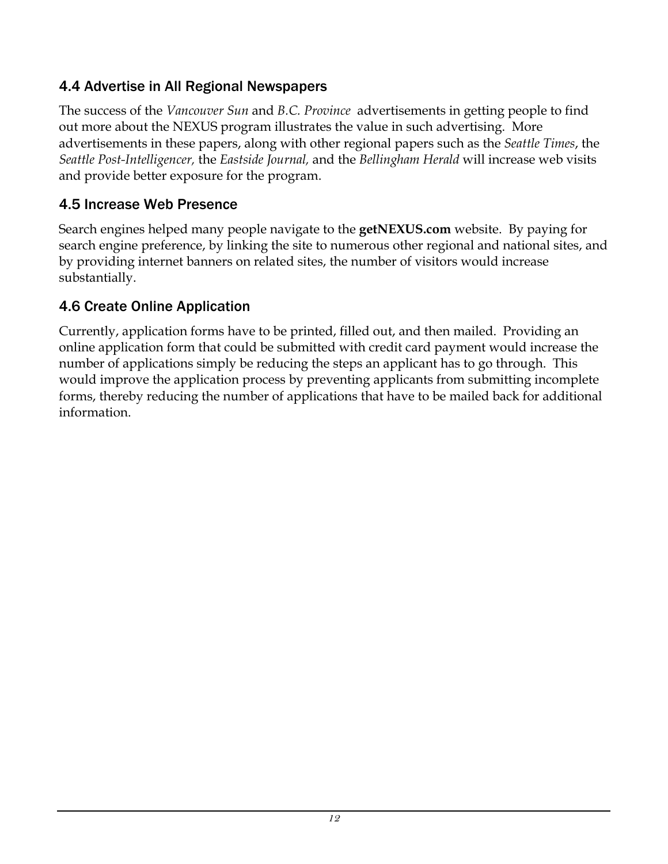#### 4.4 Advertise in All Regional Newspapers

The success of the *Vancouver Sun* and *B.C. Province* advertisements in getting people to find out more about the NEXUS program illustrates the value in such advertising. More advertisements in these papers, along with other regional papers such as the *Seattle Times*, the *Seattle Post-Intelligencer,* the *Eastside Journal,* and the *Bellingham Herald* will increase web visits and provide better exposure for the program.

#### 4.5 Increase Web Presence

Search engines helped many people navigate to the **getNEXUS.com** website. By paying for search engine preference, by linking the site to numerous other regional and national sites, and by providing internet banners on related sites, the number of visitors would increase substantially.

#### 4.6 Create Online Application

Currently, application forms have to be printed, filled out, and then mailed. Providing an online application form that could be submitted with credit card payment would increase the number of applications simply be reducing the steps an applicant has to go through. This would improve the application process by preventing applicants from submitting incomplete forms, thereby reducing the number of applications that have to be mailed back for additional information.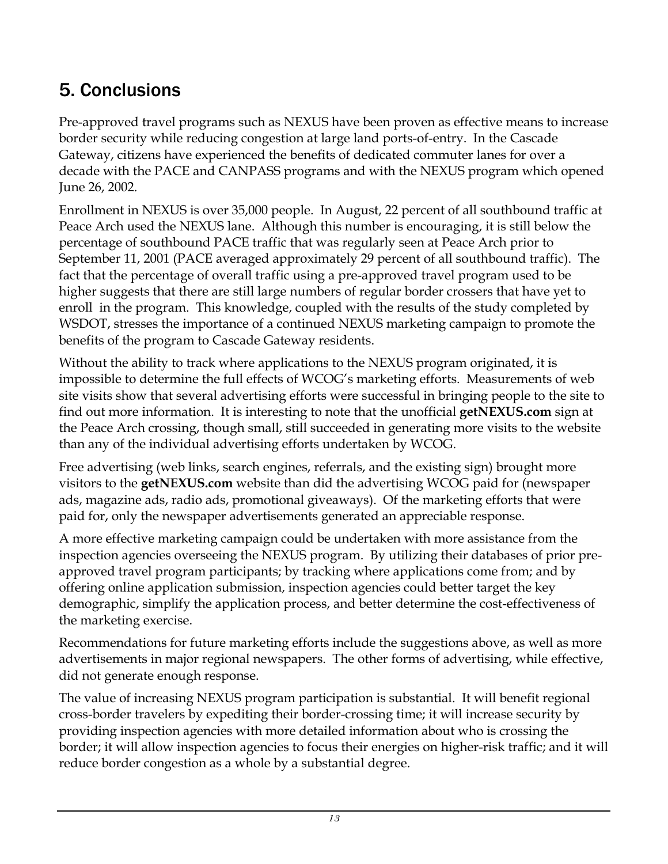# 5. Conclusions

Pre-approved travel programs such as NEXUS have been proven as effective means to increase border security while reducing congestion at large land ports-of-entry. In the Cascade Gateway, citizens have experienced the benefits of dedicated commuter lanes for over a decade with the PACE and CANPASS programs and with the NEXUS program which opened June 26, 2002.

Enrollment in NEXUS is over 35,000 people. In August, 22 percent of all southbound traffic at Peace Arch used the NEXUS lane. Although this number is encouraging, it is still below the percentage of southbound PACE traffic that was regularly seen at Peace Arch prior to September 11, 2001 (PACE averaged approximately 29 percent of all southbound traffic). The fact that the percentage of overall traffic using a pre-approved travel program used to be higher suggests that there are still large numbers of regular border crossers that have yet to enroll in the program. This knowledge, coupled with the results of the study completed by WSDOT, stresses the importance of a continued NEXUS marketing campaign to promote the benefits of the program to Cascade Gateway residents.

Without the ability to track where applications to the NEXUS program originated, it is impossible to determine the full effects of WCOG's marketing efforts. Measurements of web site visits show that several advertising efforts were successful in bringing people to the site to find out more information. It is interesting to note that the unofficial **getNEXUS.com** sign at the Peace Arch crossing, though small, still succeeded in generating more visits to the website than any of the individual advertising efforts undertaken by WCOG.

Free advertising (web links, search engines, referrals, and the existing sign) brought more visitors to the **getNEXUS.com** website than did the advertising WCOG paid for (newspaper ads, magazine ads, radio ads, promotional giveaways). Of the marketing efforts that were paid for, only the newspaper advertisements generated an appreciable response.

A more effective marketing campaign could be undertaken with more assistance from the inspection agencies overseeing the NEXUS program. By utilizing their databases of prior preapproved travel program participants; by tracking where applications come from; and by offering online application submission, inspection agencies could better target the key demographic, simplify the application process, and better determine the cost-effectiveness of the marketing exercise.

Recommendations for future marketing efforts include the suggestions above, as well as more advertisements in major regional newspapers. The other forms of advertising, while effective, did not generate enough response.

The value of increasing NEXUS program participation is substantial. It will benefit regional cross-border travelers by expediting their border-crossing time; it will increase security by providing inspection agencies with more detailed information about who is crossing the border; it will allow inspection agencies to focus their energies on higher-risk traffic; and it will reduce border congestion as a whole by a substantial degree.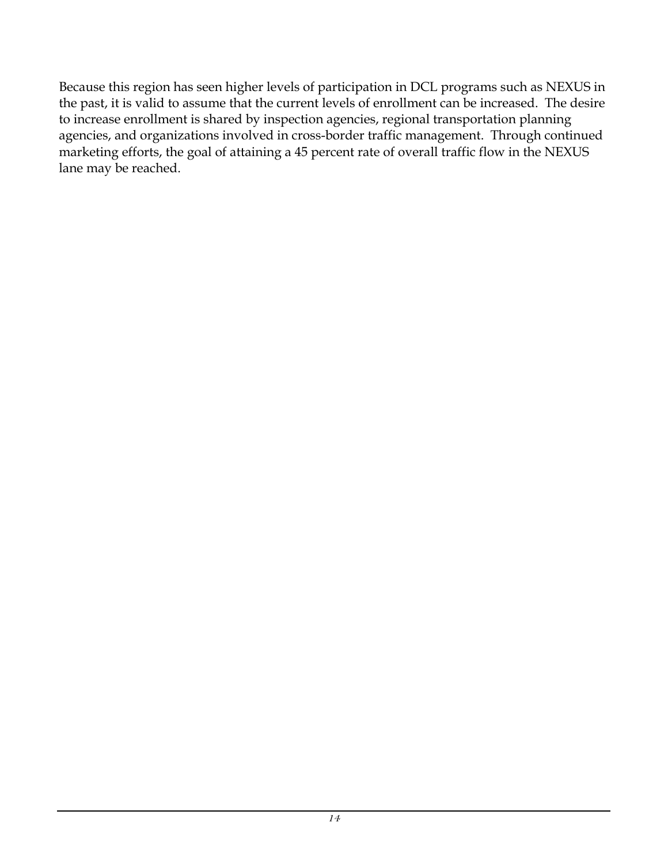Because this region has seen higher levels of participation in DCL programs such as NEXUS in the past, it is valid to assume that the current levels of enrollment can be increased. The desire to increase enrollment is shared by inspection agencies, regional transportation planning agencies, and organizations involved in cross-border traffic management. Through continued marketing efforts, the goal of attaining a 45 percent rate of overall traffic flow in the NEXUS lane may be reached.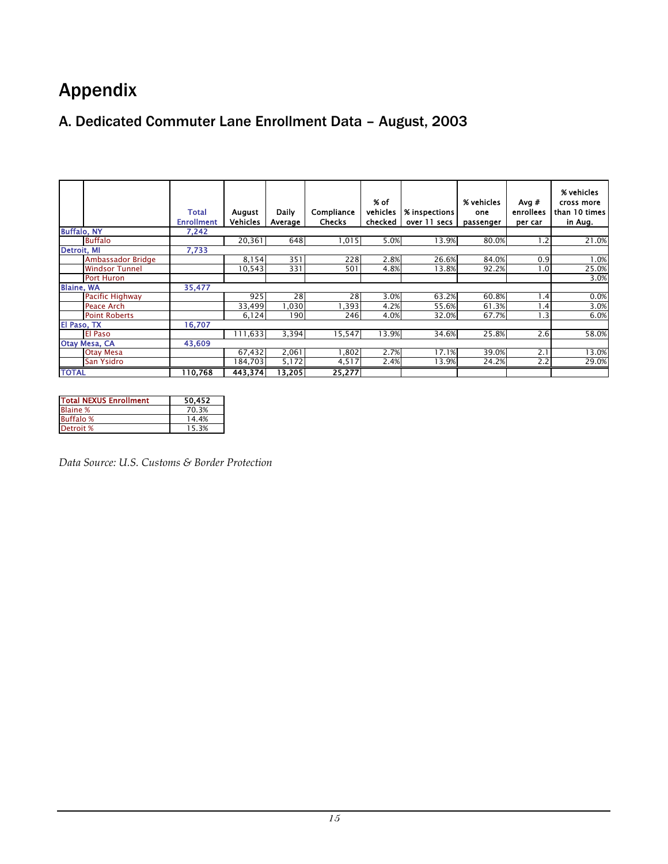# <span id="page-15-0"></span>Appendix

### A. Dedicated Commuter Lane Enrollment Data – August, 2003

|                        | <b>Total</b><br><b>Enrollment</b> | August<br><b>Vehicles</b> | Daily<br>Average | Compliance<br><b>Checks</b> | % of<br>vehicles<br>checked | % inspections<br>over 11 secs | % vehicles<br>one<br>passenger | Avg $#$<br>enrollees<br>per car | % vehicles<br>cross more<br>than 10 times<br>in Aug. |
|------------------------|-----------------------------------|---------------------------|------------------|-----------------------------|-----------------------------|-------------------------------|--------------------------------|---------------------------------|------------------------------------------------------|
| <b>Buffalo, NY</b>     | 7,242                             |                           |                  |                             |                             |                               |                                |                                 |                                                      |
| <b>Buffalo</b>         |                                   | 20,361                    | 648              | 1,015                       | 5.0%                        | 13.9%                         | 80.0%                          | 1.2                             | 21.0%                                                |
| Detroit, MI            | 7,733                             |                           |                  |                             |                             |                               |                                |                                 |                                                      |
| Ambassador Bridge      |                                   | 8,154                     | 351              | 228                         | 2.8%                        | 26.6%                         | 84.0%                          | 0.9                             | 1.0%                                                 |
| <b>Windsor Tunnel</b>  |                                   | 10,543                    | 331              | 501                         | 4.8%                        | 13.8%                         | 92.2%                          | 1.0                             | 25.0%                                                |
| <b>Port Huron</b>      |                                   |                           |                  |                             |                             |                               |                                |                                 | 3.0%                                                 |
| <b>Blaine, WA</b>      | 35,477                            |                           |                  |                             |                             |                               |                                |                                 |                                                      |
| <b>Pacific Highway</b> |                                   | 925                       | 28               | 28                          | 3.0%                        | 63.2%                         | 60.8%                          | 1.4                             | 0.0%                                                 |
| Peace Arch             |                                   | 33,499                    | ,030             | .393                        | 4.2%                        | 55.6%                         | 61.3%                          | 4. ا                            | 3.0%                                                 |
| <b>Point Roberts</b>   |                                   | 6,124                     | 190              | 246                         | 4.0%                        | 32.0%                         | 67.7%                          | 1.3                             | 6.0%                                                 |
| El Paso, TX            | 16,707                            |                           |                  |                             |                             |                               |                                |                                 |                                                      |
| <b>El Paso</b>         |                                   | 111.633                   | 3,394            | 15,547                      | 13.9%                       | 34.6%                         | 25.8%                          | 2.6                             | 58.0%                                                |
| Otay Mesa, CA          | 43,609                            |                           |                  |                             |                             |                               |                                |                                 |                                                      |
| <b>Otay Mesa</b>       |                                   | 67,432                    | 2,061            | ,802                        | 2.7%                        | 17.1%                         | 39.0%                          | 2.1                             | 13.0%                                                |
| San Ysidro             |                                   | 84,703                    | 5,172            | 4,517                       | 2.4%                        | 13.9%                         | 24.2%                          | 2.2                             | 29.0%                                                |
| <b>TOTAL</b>           | 110,768                           | 443,374                   | 13,205           | 25,277                      |                             |                               |                                |                                 |                                                      |

| <b>Total NEXUS Enrollment</b> | 50.452 |
|-------------------------------|--------|
| <b>Blaine %</b>               | 70.3%  |
| <b>Buffalo</b> %              | 14.4%  |
| Detroit %                     | 15.3%  |

*Data Source: U.S. Customs & Border Protection*